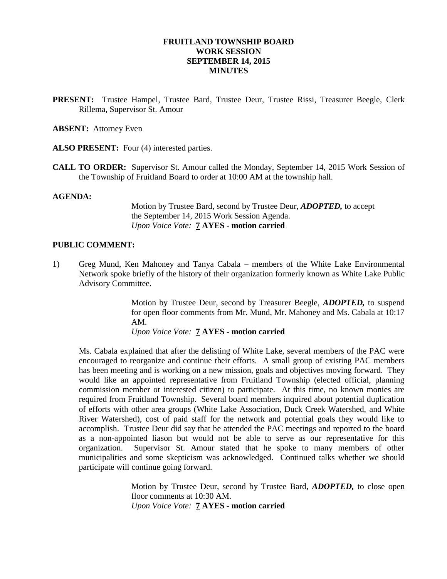#### **FRUITLAND TOWNSHIP BOARD WORK SESSION SEPTEMBER 14, 2015 MINUTES**

**PRESENT:** Trustee Hampel, Trustee Bard, Trustee Deur, Trustee Rissi, Treasurer Beegle, Clerk Rillema, Supervisor St. Amour

**ABSENT:** Attorney Even

ALSO PRESENT: Four (4) interested parties.

**CALL TO ORDER:** Supervisor St. Amour called the Monday, September 14, 2015 Work Session of the Township of Fruitland Board to order at 10:00 AM at the township hall.

#### **AGENDA:**

Motion by Trustee Bard, second by Trustee Deur, *ADOPTED,* to accept the September 14, 2015 Work Session Agenda. *Upon Voice Vote:* **7 AYES - motion carried**

#### **PUBLIC COMMENT:**

1) Greg Mund, Ken Mahoney and Tanya Cabala – members of the White Lake Environmental Network spoke briefly of the history of their organization formerly known as White Lake Public Advisory Committee.

> Motion by Trustee Deur, second by Treasurer Beegle, *ADOPTED,* to suspend for open floor comments from Mr. Mund, Mr. Mahoney and Ms. Cabala at 10:17 AM.

*Upon Voice Vote:* **7 AYES - motion carried**

Ms. Cabala explained that after the delisting of White Lake, several members of the PAC were encouraged to reorganize and continue their efforts. A small group of existing PAC members has been meeting and is working on a new mission, goals and objectives moving forward. They would like an appointed representative from Fruitland Township (elected official, planning commission member or interested citizen) to participate. At this time, no known monies are required from Fruitland Township. Several board members inquired about potential duplication of efforts with other area groups (White Lake Association, Duck Creek Watershed, and White River Watershed), cost of paid staff for the network and potential goals they would like to accomplish. Trustee Deur did say that he attended the PAC meetings and reported to the board as a non-appointed liason but would not be able to serve as our representative for this organization. Supervisor St. Amour stated that he spoke to many members of other municipalities and some skepticism was acknowledged. Continued talks whether we should participate will continue going forward.

> Motion by Trustee Deur, second by Trustee Bard, *ADOPTED,* to close open floor comments at 10:30 AM. *Upon Voice Vote:* **7 AYES - motion carried**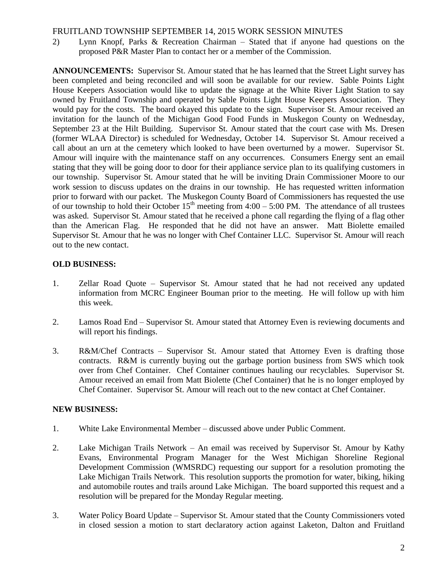## FRUITLAND TOWNSHIP SEPTEMBER 14, 2015 WORK SESSION MINUTES

2) Lynn Knopf, Parks & Recreation Chairman – Stated that if anyone had questions on the proposed P&R Master Plan to contact her or a member of the Commission.

**ANNOUNCEMENTS:** Supervisor St. Amour stated that he has learned that the Street Light survey has been completed and being reconciled and will soon be available for our review. Sable Points Light House Keepers Association would like to update the signage at the White River Light Station to say owned by Fruitland Township and operated by Sable Points Light House Keepers Association. They would pay for the costs. The board okayed this update to the sign. Supervisor St. Amour received an invitation for the launch of the Michigan Good Food Funds in Muskegon County on Wednesday, September 23 at the Hilt Building. Supervisor St. Amour stated that the court case with Ms. Dresen (former WLAA Director) is scheduled for Wednesday, October 14. Supervisor St. Amour received a call about an urn at the cemetery which looked to have been overturned by a mower. Supervisor St. Amour will inquire with the maintenance staff on any occurrences. Consumers Energy sent an email stating that they will be going door to door for their appliance service plan to its qualifying customers in our township. Supervisor St. Amour stated that he will be inviting Drain Commissioner Moore to our work session to discuss updates on the drains in our township. He has requested written information prior to forward with our packet. The Muskegon County Board of Commissioners has requested the use of our township to hold their October  $15<sup>th</sup>$  meeting from 4:00 – 5:00 PM. The attendance of all trustees was asked. Supervisor St. Amour stated that he received a phone call regarding the flying of a flag other than the American Flag. He responded that he did not have an answer. Matt Biolette emailed Supervisor St. Amour that he was no longer with Chef Container LLC. Supervisor St. Amour will reach out to the new contact.

# **OLD BUSINESS:**

- 1. Zellar Road Quote Supervisor St. Amour stated that he had not received any updated information from MCRC Engineer Bouman prior to the meeting. He will follow up with him this week.
- 2. Lamos Road End Supervisor St. Amour stated that Attorney Even is reviewing documents and will report his findings.
- 3. R&M/Chef Contracts Supervisor St. Amour stated that Attorney Even is drafting those contracts. R&M is currently buying out the garbage portion business from SWS which took over from Chef Container. Chef Container continues hauling our recyclables. Supervisor St. Amour received an email from Matt Biolette (Chef Container) that he is no longer employed by Chef Container. Supervisor St. Amour will reach out to the new contact at Chef Container.

# **NEW BUSINESS:**

- 1. White Lake Environmental Member discussed above under Public Comment.
- 2. Lake Michigan Trails Network An email was received by Supervisor St. Amour by Kathy Evans, Environmental Program Manager for the West Michigan Shoreline Regional Development Commission (WMSRDC) requesting our support for a resolution promoting the Lake Michigan Trails Network. This resolution supports the promotion for water, biking, hiking and automobile routes and trails around Lake Michigan. The board supported this request and a resolution will be prepared for the Monday Regular meeting.
- 3. Water Policy Board Update Supervisor St. Amour stated that the County Commissioners voted in closed session a motion to start declaratory action against Laketon, Dalton and Fruitland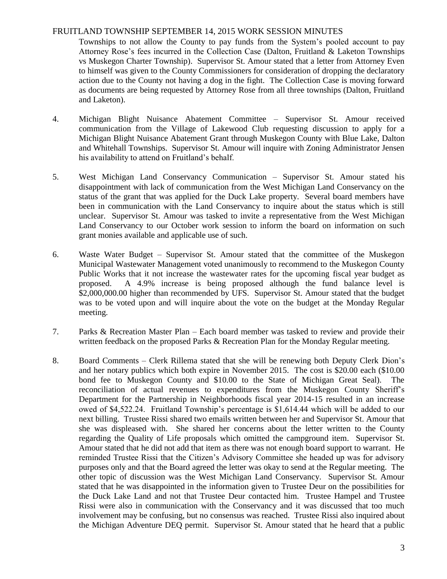## FRUITLAND TOWNSHIP SEPTEMBER 14, 2015 WORK SESSION MINUTES

Townships to not allow the County to pay funds from the System's pooled account to pay Attorney Rose's fees incurred in the Collection Case (Dalton, Fruitland & Laketon Townships vs Muskegon Charter Township). Supervisor St. Amour stated that a letter from Attorney Even to himself was given to the County Commissioners for consideration of dropping the declaratory action due to the County not having a dog in the fight. The Collection Case is moving forward as documents are being requested by Attorney Rose from all three townships (Dalton, Fruitland and Laketon).

- 4. Michigan Blight Nuisance Abatement Committee Supervisor St. Amour received communication from the Village of Lakewood Club requesting discussion to apply for a Michigan Blight Nuisance Abatement Grant through Muskegon County with Blue Lake, Dalton and Whitehall Townships. Supervisor St. Amour will inquire with Zoning Administrator Jensen his availability to attend on Fruitland's behalf.
- 5. West Michigan Land Conservancy Communication Supervisor St. Amour stated his disappointment with lack of communication from the West Michigan Land Conservancy on the status of the grant that was applied for the Duck Lake property. Several board members have been in communication with the Land Conservancy to inquire about the status which is still unclear. Supervisor St. Amour was tasked to invite a representative from the West Michigan Land Conservancy to our October work session to inform the board on information on such grant monies available and applicable use of such.
- 6. Waste Water Budget Supervisor St. Amour stated that the committee of the Muskegon Municipal Wastewater Management voted unanimously to recommend to the Muskegon County Public Works that it not increase the wastewater rates for the upcoming fiscal year budget as proposed. A 4.9% increase is being proposed although the fund balance level is \$2,000,000.00 higher than recommended by UFS. Supervisor St. Amour stated that the budget was to be voted upon and will inquire about the vote on the budget at the Monday Regular meeting.
- 7. Parks & Recreation Master Plan Each board member was tasked to review and provide their written feedback on the proposed Parks & Recreation Plan for the Monday Regular meeting.
- 8. Board Comments Clerk Rillema stated that she will be renewing both Deputy Clerk Dion's and her notary publics which both expire in November 2015. The cost is \$20.00 each (\$10.00 bond fee to Muskegon County and \$10.00 to the State of Michigan Great Seal). The reconciliation of actual revenues to expenditures from the Muskegon County Sheriff's Department for the Partnership in Neighborhoods fiscal year 2014-15 resulted in an increase owed of \$4,522.24. Fruitland Township's percentage is \$1,614.44 which will be added to our next billing. Trustee Rissi shared two emails written between her and Supervisor St. Amour that she was displeased with. She shared her concerns about the letter written to the County regarding the Quality of Life proposals which omitted the campground item. Supervisor St. Amour stated that he did not add that item as there was not enough board support to warrant. He reminded Trustee Rissi that the Citizen's Advisory Committee she headed up was for advisory purposes only and that the Board agreed the letter was okay to send at the Regular meeting. The other topic of discussion was the West Michigan Land Conservancy. Supervisor St. Amour stated that he was disappointed in the information given to Trustee Deur on the possibilities for the Duck Lake Land and not that Trustee Deur contacted him. Trustee Hampel and Trustee Rissi were also in communication with the Conservancy and it was discussed that too much involvement may be confusing, but no consensus was reached. Trustee Rissi also inquired about the Michigan Adventure DEQ permit. Supervisor St. Amour stated that he heard that a public